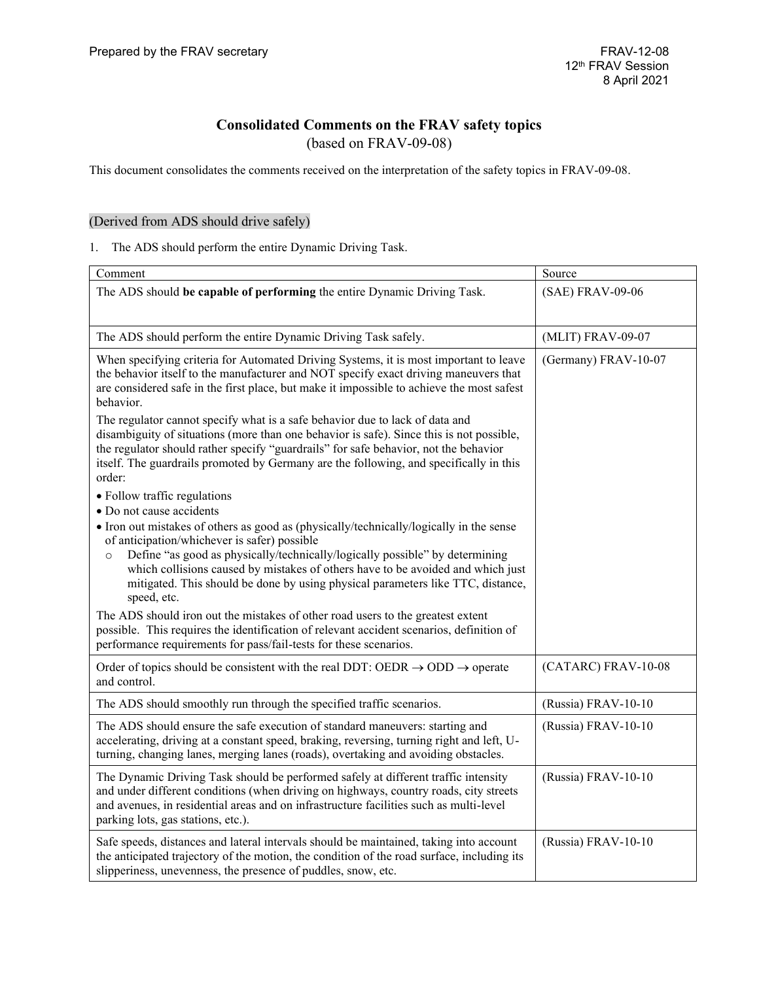# **Consolidated Comments on the FRAV safety topics**

(based on FRAV-09-08)

This document consolidates the comments received on the interpretation of the safety topics in FRAV-09-08.

## (Derived from ADS should drive safely)

1. The ADS should perform the entire Dynamic Driving Task.

| Comment                                                                                                                                                                                                                                                                                                                                                                                                                 | Source               |
|-------------------------------------------------------------------------------------------------------------------------------------------------------------------------------------------------------------------------------------------------------------------------------------------------------------------------------------------------------------------------------------------------------------------------|----------------------|
| The ADS should be capable of performing the entire Dynamic Driving Task.                                                                                                                                                                                                                                                                                                                                                | (SAE) FRAV-09-06     |
| The ADS should perform the entire Dynamic Driving Task safely.                                                                                                                                                                                                                                                                                                                                                          | (MLIT) FRAV-09-07    |
| When specifying criteria for Automated Driving Systems, it is most important to leave<br>the behavior itself to the manufacturer and NOT specify exact driving maneuvers that<br>are considered safe in the first place, but make it impossible to achieve the most safest<br>behavior.<br>The regulator cannot specify what is a safe behavior due to lack of data and                                                 | (Germany) FRAV-10-07 |
| disambiguity of situations (more than one behavior is safe). Since this is not possible,<br>the regulator should rather specify "guardrails" for safe behavior, not the behavior<br>itself. The guardrails promoted by Germany are the following, and specifically in this<br>order:                                                                                                                                    |                      |
| • Follow traffic regulations<br>• Do not cause accidents                                                                                                                                                                                                                                                                                                                                                                |                      |
| • Iron out mistakes of others as good as (physically/technically/logically in the sense<br>of anticipation/whichever is safer) possible<br>Define "as good as physically/technically/logically possible" by determining<br>$\circ$<br>which collisions caused by mistakes of others have to be avoided and which just<br>mitigated. This should be done by using physical parameters like TTC, distance,<br>speed, etc. |                      |
| The ADS should iron out the mistakes of other road users to the greatest extent<br>possible. This requires the identification of relevant accident scenarios, definition of<br>performance requirements for pass/fail-tests for these scenarios.                                                                                                                                                                        |                      |
| Order of topics should be consistent with the real DDT: OEDR $\rightarrow$ ODD $\rightarrow$ operate<br>and control.                                                                                                                                                                                                                                                                                                    | (CATARC) FRAV-10-08  |
| The ADS should smoothly run through the specified traffic scenarios.                                                                                                                                                                                                                                                                                                                                                    | (Russia) FRAV-10-10  |
| The ADS should ensure the safe execution of standard maneuvers: starting and<br>accelerating, driving at a constant speed, braking, reversing, turning right and left, U-<br>turning, changing lanes, merging lanes (roads), overtaking and avoiding obstacles.                                                                                                                                                         | (Russia) FRAV-10-10  |
| The Dynamic Driving Task should be performed safely at different traffic intensity<br>and under different conditions (when driving on highways, country roads, city streets<br>and avenues, in residential areas and on infrastructure facilities such as multi-level<br>parking lots, gas stations, etc.).                                                                                                             | (Russia) FRAV-10-10  |
| Safe speeds, distances and lateral intervals should be maintained, taking into account<br>the anticipated trajectory of the motion, the condition of the road surface, including its<br>slipperiness, unevenness, the presence of puddles, snow, etc.                                                                                                                                                                   | (Russia) FRAV-10-10  |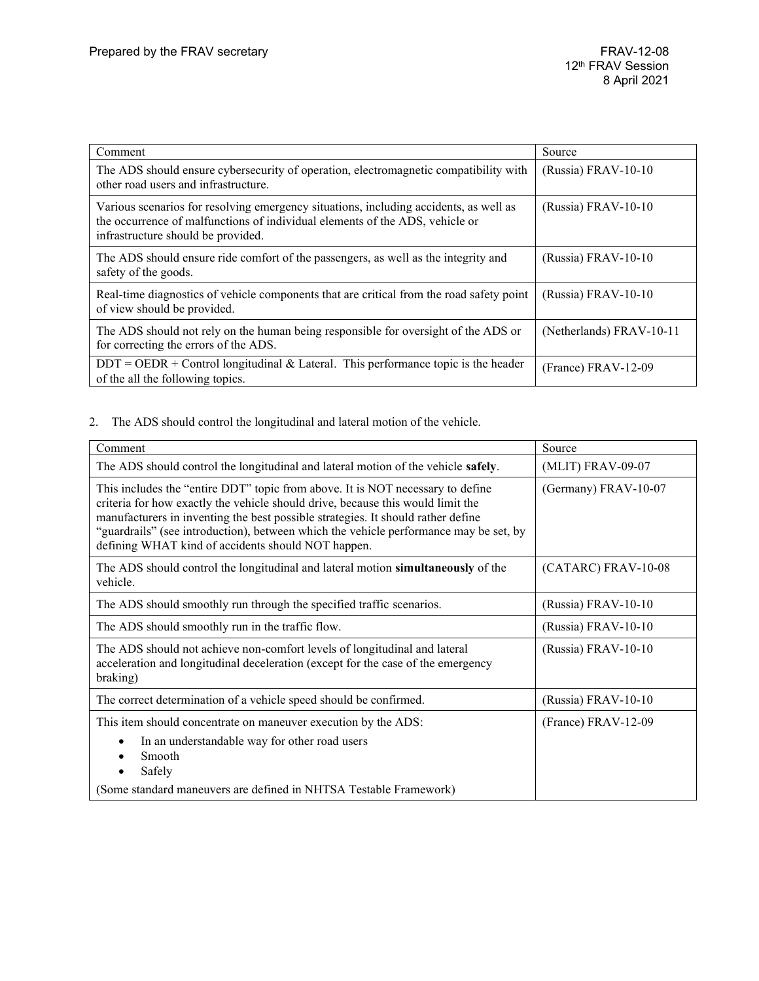| Comment                                                                                                                                                                                                     | Source                   |
|-------------------------------------------------------------------------------------------------------------------------------------------------------------------------------------------------------------|--------------------------|
| The ADS should ensure cybersecurity of operation, electromagnetic compatibility with<br>other road users and infrastructure.                                                                                | (Russia) FRAV-10-10      |
| Various scenarios for resolving emergency situations, including accidents, as well as<br>the occurrence of malfunctions of individual elements of the ADS, vehicle or<br>infrastructure should be provided. | (Russia) FRAV-10-10      |
| The ADS should ensure ride comfort of the passengers, as well as the integrity and<br>safety of the goods.                                                                                                  | (Russia) FRAV-10-10      |
| Real-time diagnostics of vehicle components that are critical from the road safety point<br>of view should be provided.                                                                                     | (Russia) FRAV-10-10      |
| The ADS should not rely on the human being responsible for oversight of the ADS or<br>for correcting the errors of the ADS.                                                                                 | (Netherlands) FRAV-10-11 |
| $DDT = OEDR + Control$ longitudinal & Lateral. This performance topic is the header<br>of the all the following topics.                                                                                     | (France) FRAV-12-09      |

### 2. The ADS should control the longitudinal and lateral motion of the vehicle.

| Comment                                                                                                                                                                                                                                                                                                                                                                                              | Source               |
|------------------------------------------------------------------------------------------------------------------------------------------------------------------------------------------------------------------------------------------------------------------------------------------------------------------------------------------------------------------------------------------------------|----------------------|
| The ADS should control the longitudinal and lateral motion of the vehicle safely.                                                                                                                                                                                                                                                                                                                    | (MLIT) FRAV-09-07    |
| This includes the "entire DDT" topic from above. It is NOT necessary to define<br>criteria for how exactly the vehicle should drive, because this would limit the<br>manufacturers in inventing the best possible strategies. It should rather define<br>"guardrails" (see introduction), between which the vehicle performance may be set, by<br>defining WHAT kind of accidents should NOT happen. | (Germany) FRAV-10-07 |
| The ADS should control the longitudinal and lateral motion simultaneously of the<br>vehicle.                                                                                                                                                                                                                                                                                                         | (CATARC) FRAV-10-08  |
| The ADS should smoothly run through the specified traffic scenarios.                                                                                                                                                                                                                                                                                                                                 | (Russia) FRAV-10-10  |
| The ADS should smoothly run in the traffic flow.                                                                                                                                                                                                                                                                                                                                                     | (Russia) FRAV-10-10  |
| The ADS should not achieve non-comfort levels of longitudinal and lateral<br>acceleration and longitudinal deceleration (except for the case of the emergency<br>braking)                                                                                                                                                                                                                            | (Russia) FRAV-10-10  |
| The correct determination of a vehicle speed should be confirmed.                                                                                                                                                                                                                                                                                                                                    | (Russia) FRAV-10-10  |
| This item should concentrate on maneuver execution by the ADS:<br>In an understandable way for other road users<br>Smooth<br>Safely<br>(Some standard maneuvers are defined in NHTSA Testable Framework)                                                                                                                                                                                             | (France) FRAV-12-09  |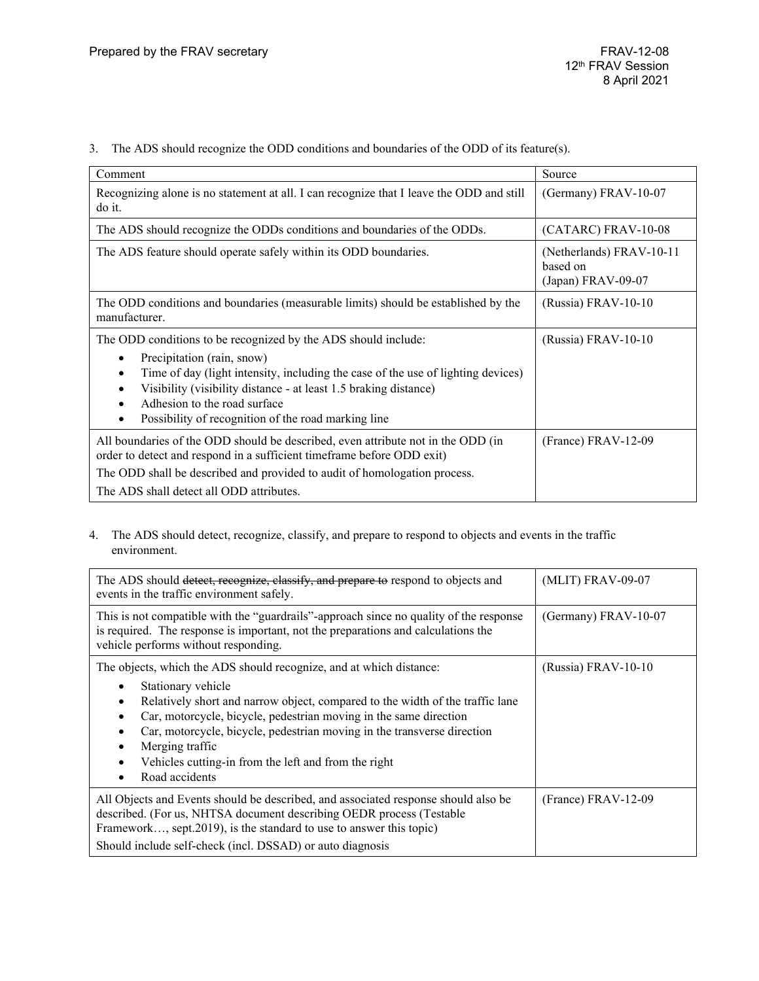3. The ADS should recognize the ODD conditions and boundaries of the ODD of its feature(s).

| Comment                                                                                                                                                                                                                                                                                                                                     | Source                                                     |
|---------------------------------------------------------------------------------------------------------------------------------------------------------------------------------------------------------------------------------------------------------------------------------------------------------------------------------------------|------------------------------------------------------------|
| Recognizing alone is no statement at all. I can recognize that I leave the ODD and still<br>do it.                                                                                                                                                                                                                                          | (Germany) FRAV-10-07                                       |
| The ADS should recognize the ODDs conditions and boundaries of the ODDs.                                                                                                                                                                                                                                                                    | (CATARC) FRAV-10-08                                        |
| The ADS feature should operate safely within its ODD boundaries.                                                                                                                                                                                                                                                                            | (Netherlands) FRAV-10-11<br>based on<br>(Japan) FRAV-09-07 |
| The ODD conditions and boundaries (measurable limits) should be established by the<br>manufacturer.                                                                                                                                                                                                                                         | (Russia) FRAV-10-10                                        |
| The ODD conditions to be recognized by the ADS should include:<br>Precipitation (rain, snow)<br>Time of day (light intensity, including the case of the use of lighting devices)<br>Visibility (visibility distance - at least 1.5 braking distance)<br>Adhesion to the road surface<br>Possibility of recognition of the road marking line | (Russia) FRAV-10-10                                        |
| All boundaries of the ODD should be described, even attribute not in the ODD (in<br>order to detect and respond in a sufficient timeframe before ODD exit)<br>The ODD shall be described and provided to audit of homologation process.<br>The ADS shall detect all ODD attributes.                                                         | (France) FRAV-12-09                                        |

4. The ADS should detect, recognize, classify, and prepare to respond to objects and events in the traffic environment.

| The ADS should detect, recognize, classify, and prepare to respond to objects and<br>events in the traffic environment safely.                                                                                                                                                                                                                                                                                          | (MLIT) FRAV-09-07     |
|-------------------------------------------------------------------------------------------------------------------------------------------------------------------------------------------------------------------------------------------------------------------------------------------------------------------------------------------------------------------------------------------------------------------------|-----------------------|
| This is not compatible with the "guardrails"-approach since no quality of the response<br>is required. The response is important, not the preparations and calculations the<br>vehicle performs without responding.                                                                                                                                                                                                     | (Germany) FRAV-10-07  |
| The objects, which the ADS should recognize, and at which distance:<br>Stationary vehicle<br>Relatively short and narrow object, compared to the width of the traffic lane<br>Car, motorcycle, bicycle, pedestrian moving in the same direction<br>Car, motorcycle, bicycle, pedestrian moving in the transverse direction<br>Merging traffic<br>Vehicles cutting-in from the left and from the right<br>Road accidents | (Russia) FRAV-10-10   |
| All Objects and Events should be described, and associated response should also be<br>described. (For us, NHTSA document describing OEDR process (Testable<br>Framework, sept.2019), is the standard to use to answer this topic)<br>Should include self-check (incl. DSSAD) or auto diagnosis                                                                                                                          | $(France) FRAV-12-09$ |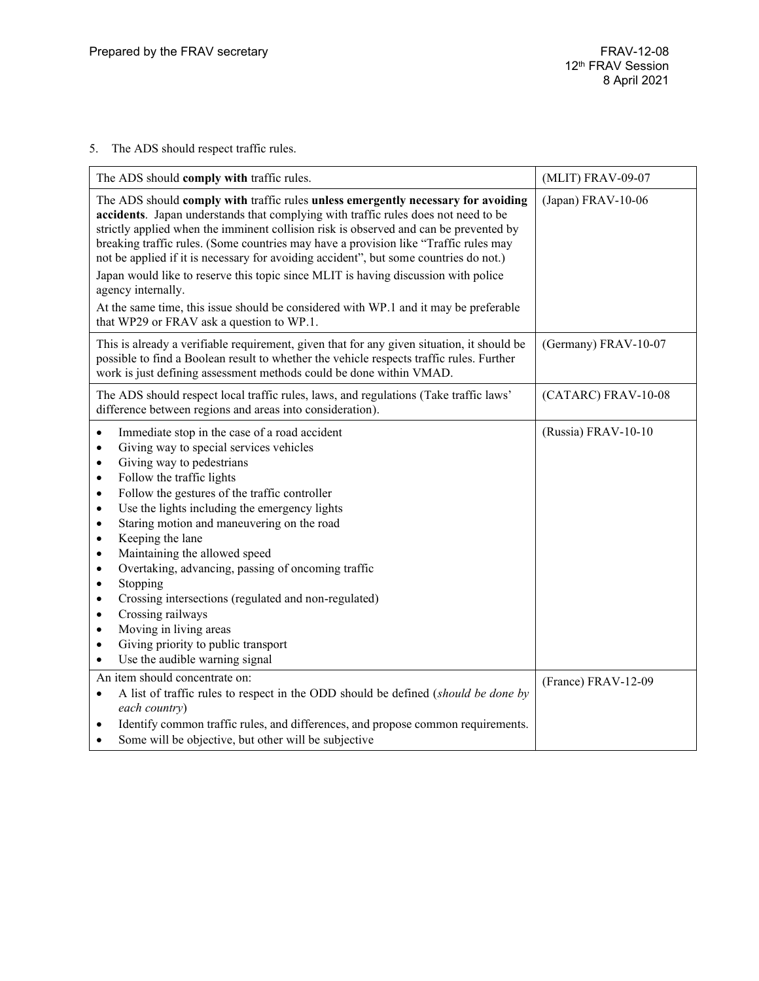# 5. The ADS should respect traffic rules.

| The ADS should comply with traffic rules.                                                                                                                                                                                                                                                                                                                                                                                                                                                                                                                                                                                                                                                                                                                                                                                 | (MLIT) FRAV-09-07    |
|---------------------------------------------------------------------------------------------------------------------------------------------------------------------------------------------------------------------------------------------------------------------------------------------------------------------------------------------------------------------------------------------------------------------------------------------------------------------------------------------------------------------------------------------------------------------------------------------------------------------------------------------------------------------------------------------------------------------------------------------------------------------------------------------------------------------------|----------------------|
| The ADS should comply with traffic rules unless emergently necessary for avoiding<br>accidents. Japan understands that complying with traffic rules does not need to be<br>strictly applied when the imminent collision risk is observed and can be prevented by<br>breaking traffic rules. (Some countries may have a provision like "Traffic rules may<br>not be applied if it is necessary for avoiding accident", but some countries do not.)<br>Japan would like to reserve this topic since MLIT is having discussion with police<br>agency internally.                                                                                                                                                                                                                                                             | $(Japan)$ FRAV-10-06 |
| At the same time, this issue should be considered with WP.1 and it may be preferable<br>that WP29 or FRAV ask a question to WP.1.                                                                                                                                                                                                                                                                                                                                                                                                                                                                                                                                                                                                                                                                                         |                      |
| This is already a verifiable requirement, given that for any given situation, it should be<br>possible to find a Boolean result to whether the vehicle respects traffic rules. Further<br>work is just defining assessment methods could be done within VMAD.                                                                                                                                                                                                                                                                                                                                                                                                                                                                                                                                                             | (Germany) FRAV-10-07 |
| The ADS should respect local traffic rules, laws, and regulations (Take traffic laws'<br>difference between regions and areas into consideration).                                                                                                                                                                                                                                                                                                                                                                                                                                                                                                                                                                                                                                                                        | (CATARC) FRAV-10-08  |
| Immediate stop in the case of a road accident<br>$\bullet$<br>Giving way to special services vehicles<br>$\bullet$<br>Giving way to pedestrians<br>$\bullet$<br>Follow the traffic lights<br>$\bullet$<br>Follow the gestures of the traffic controller<br>$\bullet$<br>Use the lights including the emergency lights<br>$\bullet$<br>Staring motion and maneuvering on the road<br>$\bullet$<br>Keeping the lane<br>$\bullet$<br>Maintaining the allowed speed<br>$\bullet$<br>Overtaking, advancing, passing of oncoming traffic<br>$\bullet$<br>Stopping<br>$\bullet$<br>Crossing intersections (regulated and non-regulated)<br>$\bullet$<br>Crossing railways<br>$\bullet$<br>Moving in living areas<br>$\bullet$<br>Giving priority to public transport<br>$\bullet$<br>Use the audible warning signal<br>$\bullet$ | (Russia) FRAV-10-10  |
| An item should concentrate on:<br>A list of traffic rules to respect in the ODD should be defined (should be done by<br>$\bullet$<br>each country)<br>Identify common traffic rules, and differences, and propose common requirements.<br>$\bullet$<br>Some will be objective, but other will be subjective<br>$\bullet$                                                                                                                                                                                                                                                                                                                                                                                                                                                                                                  | (France) FRAV-12-09  |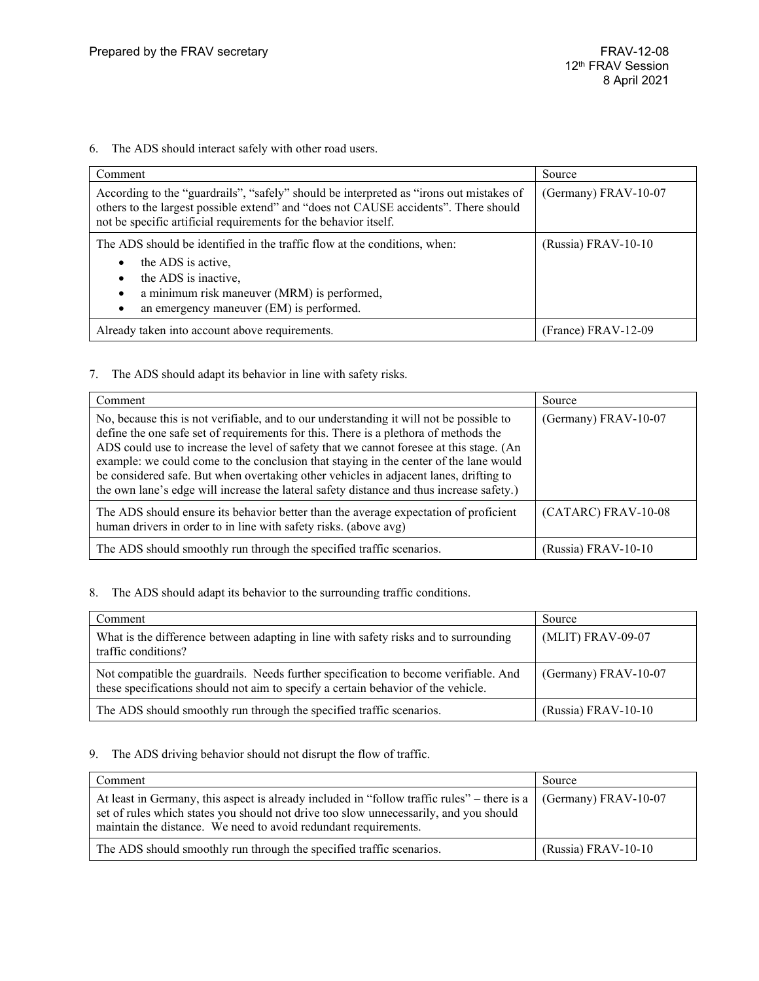6. The ADS should interact safely with other road users.

| Comment                                                                                                                                                                                                                                            | Source               |
|----------------------------------------------------------------------------------------------------------------------------------------------------------------------------------------------------------------------------------------------------|----------------------|
| According to the "guardrails", "safely" should be interpreted as "irons out mistakes of<br>others to the largest possible extend" and "does not CAUSE accidents". There should<br>not be specific artificial requirements for the behavior itself. | (Germany) FRAV-10-07 |
| The ADS should be identified in the traffic flow at the conditions, when:<br>the ADS is active,<br>the ADS is inactive,<br>a minimum risk maneuver (MRM) is performed,<br>$\bullet$<br>an emergency maneuver (EM) is performed.                    | (Russia) FRAV-10-10  |
| Already taken into account above requirements.                                                                                                                                                                                                     | (France) FRAV-12-09  |

### 7. The ADS should adapt its behavior in line with safety risks.

| Comment                                                                                                                                                                                                                                                                                                                                                                                                                                                                                                                                                  | Source               |
|----------------------------------------------------------------------------------------------------------------------------------------------------------------------------------------------------------------------------------------------------------------------------------------------------------------------------------------------------------------------------------------------------------------------------------------------------------------------------------------------------------------------------------------------------------|----------------------|
| No, because this is not verifiable, and to our understanding it will not be possible to<br>define the one safe set of requirements for this. There is a plethora of methods the<br>ADS could use to increase the level of safety that we cannot foresee at this stage. (An<br>example: we could come to the conclusion that staying in the center of the lane would<br>be considered safe. But when overtaking other vehicles in adjacent lanes, drifting to<br>the own lane's edge will increase the lateral safety distance and thus increase safety.) | (Germany) FRAV-10-07 |
| The ADS should ensure its behavior better than the average expectation of proficient<br>human drivers in order to in line with safety risks. (above avg)                                                                                                                                                                                                                                                                                                                                                                                                 | (CATARC) FRAV-10-08  |
| The ADS should smoothly run through the specified traffic scenarios.                                                                                                                                                                                                                                                                                                                                                                                                                                                                                     | (Russia) FRAV-10-10  |

### 8. The ADS should adapt its behavior to the surrounding traffic conditions.

| Comment                                                                                                                                                                   | Source               |
|---------------------------------------------------------------------------------------------------------------------------------------------------------------------------|----------------------|
| What is the difference between adapting in line with safety risks and to surrounding<br>traffic conditions?                                                               | (MLIT) FRAV-09-07    |
| Not compatible the guardrails. Needs further specification to become verifiable. And<br>these specifications should not aim to specify a certain behavior of the vehicle. | (Germany) FRAV-10-07 |
| The ADS should smoothly run through the specified traffic scenarios.                                                                                                      | (Russia) FRAV-10-10  |

### 9. The ADS driving behavior should not disrupt the flow of traffic.

| Comment                                                                                                                                                                                                                                                                             | Source                |
|-------------------------------------------------------------------------------------------------------------------------------------------------------------------------------------------------------------------------------------------------------------------------------------|-----------------------|
| At least in Germany, this aspect is already included in "follow traffic rules" – there is a $\mid$ (Germany) FRAV-10-07<br>set of rules which states you should not drive too slow unnecessarily, and you should<br>maintain the distance. We need to avoid redundant requirements. |                       |
| The ADS should smoothly run through the specified traffic scenarios.                                                                                                                                                                                                                | $(Russia)$ FRAV-10-10 |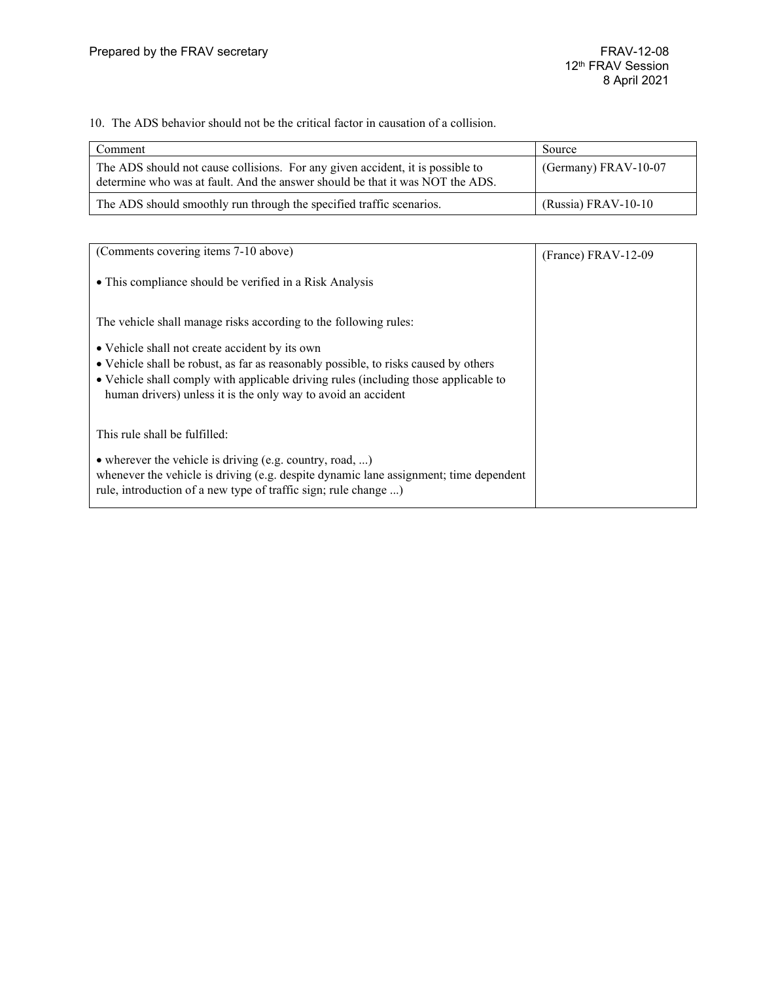10. The ADS behavior should not be the critical factor in causation of a collision.

| Comment                                                                                                                                                         | Source                 |
|-----------------------------------------------------------------------------------------------------------------------------------------------------------------|------------------------|
| The ADS should not cause collisions. For any given accident, it is possible to<br>determine who was at fault. And the answer should be that it was NOT the ADS. | (Germany) $FRAV-10-07$ |
| The ADS should smoothly run through the specified traffic scenarios.                                                                                            | $(Russia) FRAV-10-10$  |

| (Comments covering items 7-10 above)                                                                                                                                                                                                                                                          | $(France) FRAV-12-09$ |
|-----------------------------------------------------------------------------------------------------------------------------------------------------------------------------------------------------------------------------------------------------------------------------------------------|-----------------------|
| • This compliance should be verified in a Risk Analysis                                                                                                                                                                                                                                       |                       |
| The vehicle shall manage risks according to the following rules:                                                                                                                                                                                                                              |                       |
| • Vehicle shall not create accident by its own<br>• Vehicle shall be robust, as far as reasonably possible, to risks caused by others<br>• Vehicle shall comply with applicable driving rules (including those applicable to<br>human drivers) unless it is the only way to avoid an accident |                       |
| This rule shall be fulfilled:                                                                                                                                                                                                                                                                 |                       |
| • wherever the vehicle is driving (e.g. country, road, )<br>whenever the vehicle is driving (e.g. despite dynamic lane assignment; time dependent<br>rule, introduction of a new type of traffic sign; rule change )                                                                          |                       |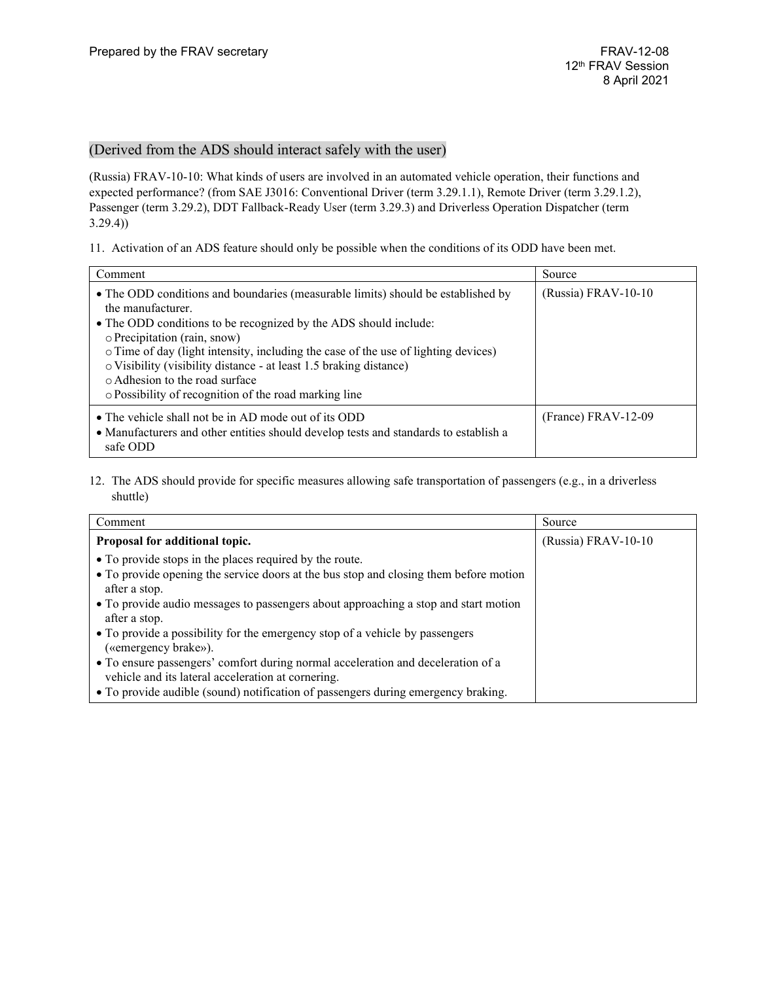### (Derived from the ADS should interact safely with the user)

(Russia) FRAV-10-10: What kinds of users are involved in an automated vehicle operation, their functions and expected performance? (from SAE J3016: Conventional Driver (term 3.29.1.1), Remote Driver (term 3.29.1.2), Passenger (term 3.29.2), DDT Fallback-Ready User (term 3.29.3) and Driverless Operation Dispatcher (term 3.29.4))

11. Activation of an ADS feature should only be possible when the conditions of its ODD have been met.

| Comment                                                                                                                                                                                                                                                                                                                                                                                                                                                          | Source              |
|------------------------------------------------------------------------------------------------------------------------------------------------------------------------------------------------------------------------------------------------------------------------------------------------------------------------------------------------------------------------------------------------------------------------------------------------------------------|---------------------|
| • The ODD conditions and boundaries (measurable limits) should be established by<br>the manufacturer.<br>• The ODD conditions to be recognized by the ADS should include:<br>o Precipitation (rain, snow)<br>o Time of day (light intensity, including the case of the use of lighting devices)<br>o Visibility (visibility distance - at least 1.5 braking distance)<br>o Adhesion to the road surface<br>o Possibility of recognition of the road marking line | (Russia) FRAV-10-10 |
| • The vehicle shall not be in AD mode out of its ODD<br>• Manufacturers and other entities should develop tests and standards to establish a<br>safe ODD                                                                                                                                                                                                                                                                                                         | (France) FRAV-12-09 |

12. The ADS should provide for specific measures allowing safe transportation of passengers (e.g., in a driverless shuttle)

| Comment                                                                                                                                | Source              |
|----------------------------------------------------------------------------------------------------------------------------------------|---------------------|
| Proposal for additional topic.                                                                                                         | (Russia) FRAV-10-10 |
| • To provide stops in the places required by the route.                                                                                |                     |
| • To provide opening the service doors at the bus stop and closing them before motion<br>after a stop.                                 |                     |
| • To provide audio messages to passengers about approaching a stop and start motion<br>after a stop.                                   |                     |
| • To provide a possibility for the emergency stop of a vehicle by passengers<br>(«emergency brake»).                                   |                     |
| • To ensure passengers' comfort during normal acceleration and deceleration of a<br>vehicle and its lateral acceleration at cornering. |                     |
| • To provide audible (sound) notification of passengers during emergency braking.                                                      |                     |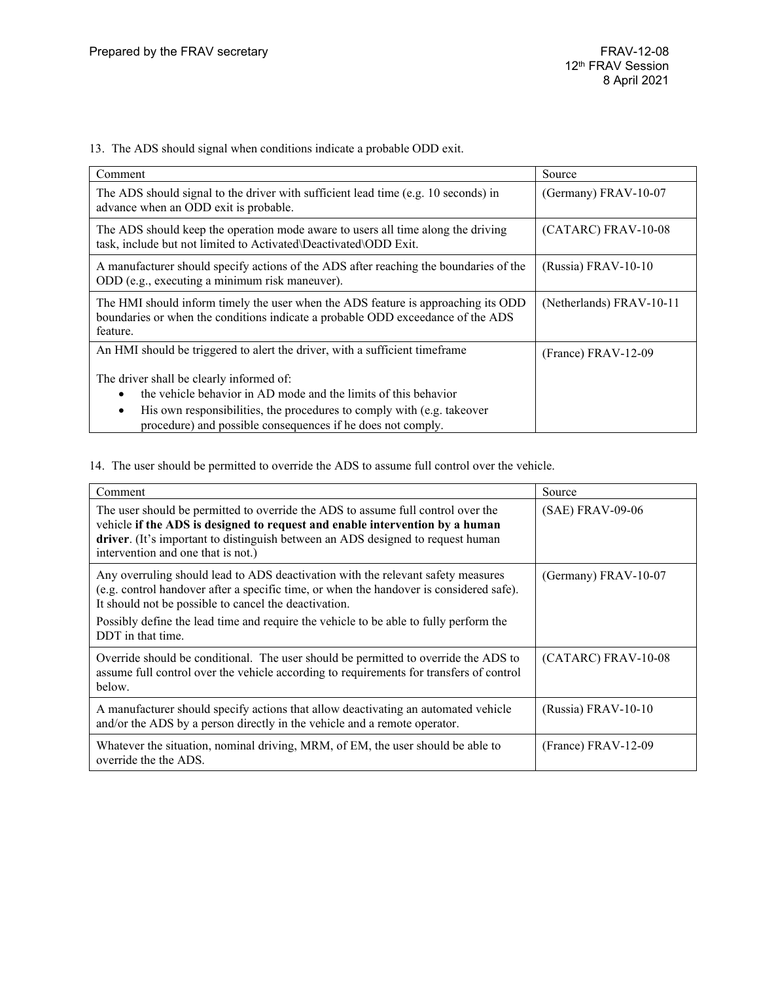13. The ADS should signal when conditions indicate a probable ODD exit.

| Comment                                                                                                                                                                          | Source                   |
|----------------------------------------------------------------------------------------------------------------------------------------------------------------------------------|--------------------------|
| The ADS should signal to the driver with sufficient lead time (e.g. 10 seconds) in<br>advance when an ODD exit is probable.                                                      | (Germany) FRAV-10-07     |
| The ADS should keep the operation mode aware to users all time along the driving<br>task, include but not limited to Activated\Deactivated\ODD Exit.                             | $(CATARC)$ FRAV-10-08    |
| A manufacturer should specify actions of the ADS after reaching the boundaries of the<br>ODD (e.g., executing a minimum risk maneuver).                                          | (Russia) FRAV-10-10      |
| The HMI should inform timely the user when the ADS feature is approaching its ODD<br>boundaries or when the conditions indicate a probable ODD exceedance of the ADS<br>feature. | (Netherlands) FRAV-10-11 |
| An HMI should be triggered to alert the driver, with a sufficient timeframe                                                                                                      | (France) FRAV-12-09      |
| The driver shall be clearly informed of:                                                                                                                                         |                          |
| the vehicle behavior in AD mode and the limits of this behavior                                                                                                                  |                          |
| His own responsibilities, the procedures to comply with (e.g. takeover<br>$\bullet$                                                                                              |                          |
| procedure) and possible consequences if he does not comply.                                                                                                                      |                          |

14. The user should be permitted to override the ADS to assume full control over the vehicle.

| Comment                                                                                                                                                                                                                                                                                   | Source                |
|-------------------------------------------------------------------------------------------------------------------------------------------------------------------------------------------------------------------------------------------------------------------------------------------|-----------------------|
| The user should be permitted to override the ADS to assume full control over the<br>vehicle if the ADS is designed to request and enable intervention by a human<br>driver. (It's important to distinguish between an ADS designed to request human<br>intervention and one that is not.) | $(SAE)$ FRAV-09-06    |
| Any overruling should lead to ADS deactivation with the relevant safety measures<br>(e.g. control handover after a specific time, or when the handover is considered safe).<br>It should not be possible to cancel the deactivation.                                                      | (Germany) FRAV-10-07  |
| Possibly define the lead time and require the vehicle to be able to fully perform the<br>DDT in that time.                                                                                                                                                                                |                       |
| Override should be conditional. The user should be permitted to override the ADS to<br>assume full control over the vehicle according to requirements for transfers of control<br>below.                                                                                                  | (CATARC) FRAV-10-08   |
| A manufacturer should specify actions that allow deactivating an automated vehicle<br>and/or the ADS by a person directly in the vehicle and a remote operator.                                                                                                                           | (Russia) FRAV-10-10   |
| Whatever the situation, nominal driving, MRM, of EM, the user should be able to<br>override the the ADS.                                                                                                                                                                                  | $(France) FRAV-12-09$ |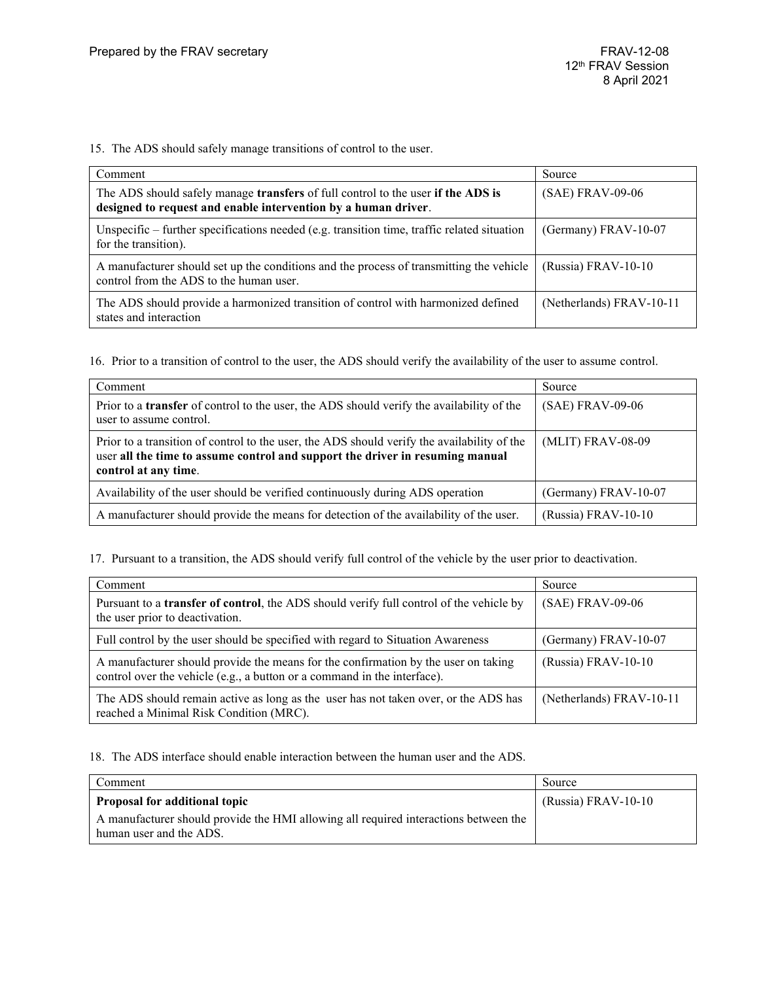15. The ADS should safely manage transitions of control to the user.

| Comment                                                                                                                                            | Source                   |
|----------------------------------------------------------------------------------------------------------------------------------------------------|--------------------------|
| The ADS should safely manage transfers of full control to the user if the ADS is<br>designed to request and enable intervention by a human driver. | (SAE) FRAV-09-06         |
| Unspecific – further specifications needed (e.g. transition time, traffic related situation<br>for the transition).                                | (Germany) $FRAV-10-07$   |
| A manufacturer should set up the conditions and the process of transmitting the vehicle<br>control from the ADS to the human user.                 | $(Russia) FRAV-10-10$    |
| The ADS should provide a harmonized transition of control with harmonized defined<br>states and interaction                                        | (Netherlands) FRAV-10-11 |

16. Prior to a transition of control to the user, the ADS should verify the availability of the user to assume control.

| Comment                                                                                                                                                                                              | Source                |
|------------------------------------------------------------------------------------------------------------------------------------------------------------------------------------------------------|-----------------------|
| Prior to a <b>transfer</b> of control to the user, the ADS should verify the availability of the<br>user to assume control.                                                                          | (SAE) FRAV-09-06      |
| Prior to a transition of control to the user, the ADS should verify the availability of the<br>user all the time to assume control and support the driver in resuming manual<br>control at any time. | (MLIT) FRAV-08-09     |
| Availability of the user should be verified continuously during ADS operation                                                                                                                        | (Germany) FRAV-10-07  |
| A manufacturer should provide the means for detection of the availability of the user.                                                                                                               | $(Russia)$ FRAV-10-10 |

17. Pursuant to a transition, the ADS should verify full control of the vehicle by the user prior to deactivation.

| Comment                                                                                                                                                        | Source                   |
|----------------------------------------------------------------------------------------------------------------------------------------------------------------|--------------------------|
| Pursuant to a transfer of control, the ADS should verify full control of the vehicle by<br>the user prior to deactivation.                                     | (SAE) FRAV-09-06         |
| Full control by the user should be specified with regard to Situation Awareness                                                                                | (Germany) FRAV-10-07     |
| A manufacturer should provide the means for the confirmation by the user on taking<br>control over the vehicle (e.g., a button or a command in the interface). | (Russia) FRAV-10-10      |
| The ADS should remain active as long as the user has not taken over, or the ADS has<br>reached a Minimal Risk Condition (MRC).                                 | (Netherlands) FRAV-10-11 |

18. The ADS interface should enable interaction between the human user and the ADS.

| Comment                                                                                                         | Source                |
|-----------------------------------------------------------------------------------------------------------------|-----------------------|
| <b>Proposal for additional topic</b>                                                                            | $(Russia) FRAV-10-10$ |
| A manufacturer should provide the HMI allowing all required interactions between the<br>human user and the ADS. |                       |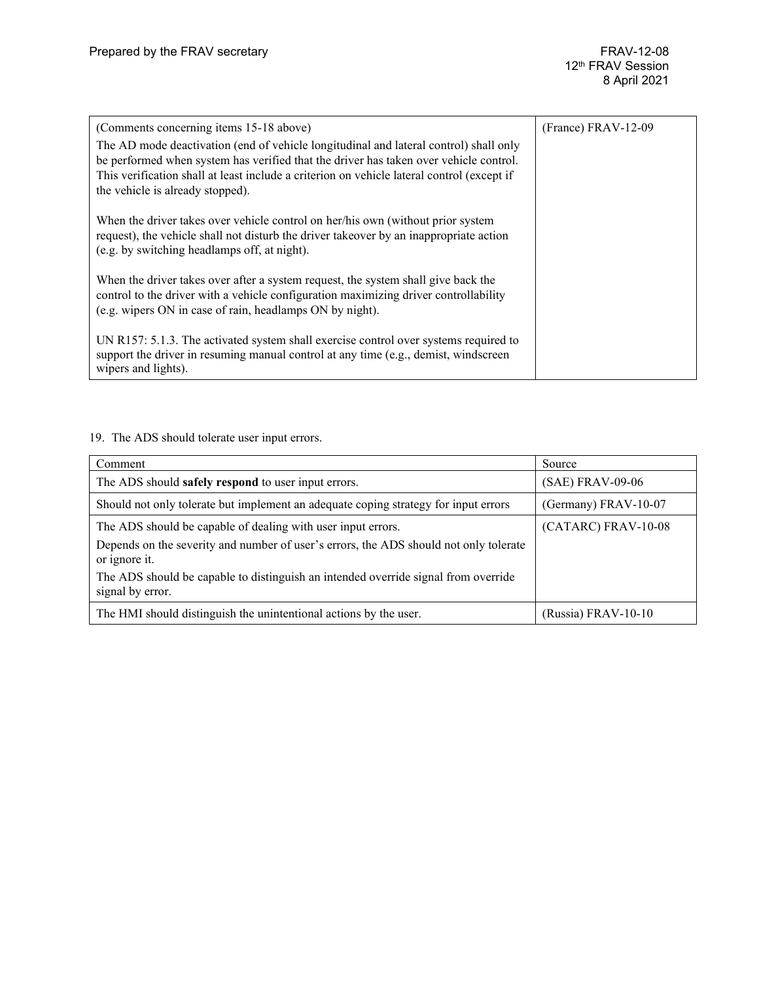| (Comments concerning items 15-18 above)                                                                                                                                             | (France) FRAV-12-09 |
|-------------------------------------------------------------------------------------------------------------------------------------------------------------------------------------|---------------------|
| The AD mode deactivation (end of vehicle longitudinal and lateral control) shall only                                                                                               |                     |
| be performed when system has verified that the driver has taken over vehicle control.<br>This verification shall at least include a criterion on vehicle lateral control (except if |                     |
| the vehicle is already stopped).                                                                                                                                                    |                     |
|                                                                                                                                                                                     |                     |
| When the driver takes over vehicle control on her/his own (without prior system                                                                                                     |                     |
| request), the vehicle shall not disturb the driver takeover by an inappropriate action<br>(e.g. by switching headlamps off, at night).                                              |                     |
|                                                                                                                                                                                     |                     |
| When the driver takes over after a system request, the system shall give back the                                                                                                   |                     |
| control to the driver with a vehicle configuration maximizing driver controllability<br>(e.g. wipers ON in case of rain, headlamps ON by night).                                    |                     |
|                                                                                                                                                                                     |                     |
| UN R157: 5.1.3. The activated system shall exercise control over systems required to<br>support the driver in resuming manual control at any time (e.g., demist, windscreen         |                     |
| wipers and lights).                                                                                                                                                                 |                     |

19. The ADS should tolerate user input errors.

| Comment                                                                                                | Source               |
|--------------------------------------------------------------------------------------------------------|----------------------|
| The ADS should safely respond to user input errors.                                                    | (SAE) FRAV-09-06     |
| Should not only tolerate but implement an adequate coping strategy for input errors                    | (Germany) FRAV-10-07 |
| The ADS should be capable of dealing with user input errors.                                           | (CATARC) FRAV-10-08  |
| Depends on the severity and number of user's errors, the ADS should not only tolerate<br>or ignore it. |                      |
| The ADS should be capable to distinguish an intended override signal from override<br>signal by error. |                      |
| The HMI should distinguish the unintentional actions by the user.                                      | (Russia) FRAV-10-10  |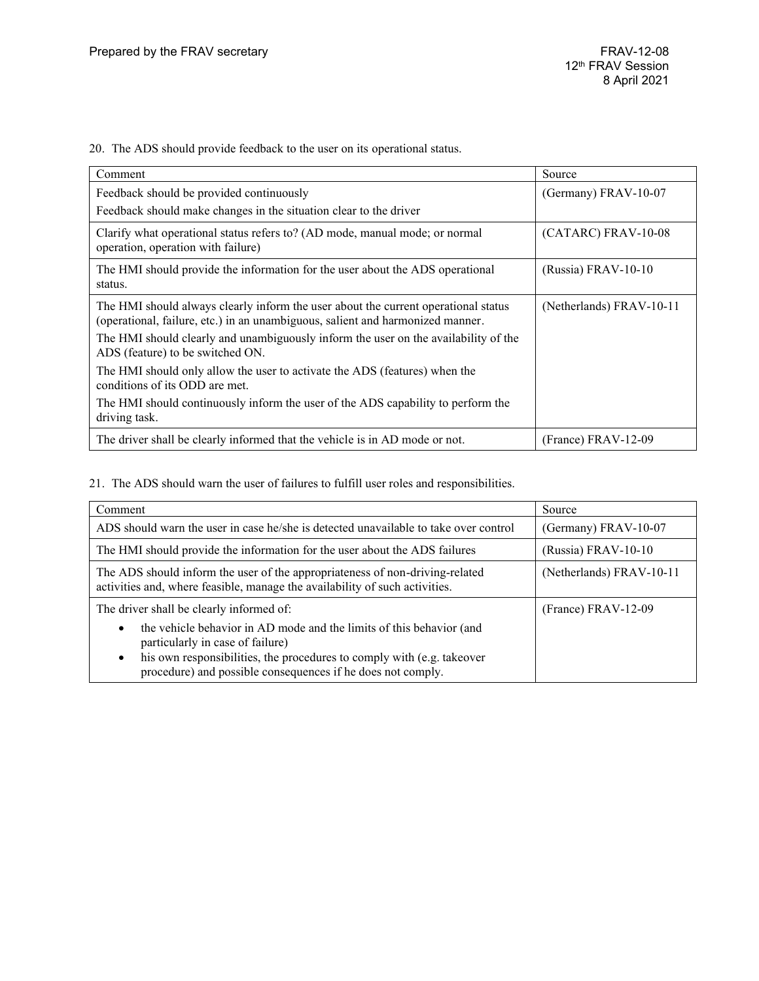20. The ADS should provide feedback to the user on its operational status.

| Comment                                                                                                                                                              | Source                   |
|----------------------------------------------------------------------------------------------------------------------------------------------------------------------|--------------------------|
| Feedback should be provided continuously<br>Feedback should make changes in the situation clear to the driver                                                        | (Germany) FRAV-10-07     |
| Clarify what operational status refers to? (AD mode, manual mode; or normal<br>operation, operation with failure)                                                    | (CATARC) FRAV-10-08      |
| The HMI should provide the information for the user about the ADS operational<br>status.                                                                             | (Russia) FRAV-10-10      |
| The HMI should always clearly inform the user about the current operational status<br>(operational, failure, etc.) in an unambiguous, salient and harmonized manner. | (Netherlands) FRAV-10-11 |
| The HMI should clearly and unambiguously inform the user on the availability of the<br>ADS (feature) to be switched ON.                                              |                          |
| The HMI should only allow the user to activate the ADS (features) when the<br>conditions of its ODD are met.                                                         |                          |
| The HMI should continuously inform the user of the ADS capability to perform the<br>driving task.                                                                    |                          |
| The driver shall be clearly informed that the vehicle is in AD mode or not.                                                                                          | $(France) FRAV-12-09$    |

21. The ADS should warn the user of failures to fulfill user roles and responsibilities.

| Comment                                                                                                                                                                                         | Source                   |
|-------------------------------------------------------------------------------------------------------------------------------------------------------------------------------------------------|--------------------------|
| ADS should warn the user in case he/she is detected unavailable to take over control                                                                                                            | (Germany) FRAV-10-07     |
| The HMI should provide the information for the user about the ADS failures                                                                                                                      | (Russia) FRAV-10-10      |
| The ADS should inform the user of the appropriateness of non-driving-related<br>activities and, where feasible, manage the availability of such activities.                                     | (Netherlands) FRAV-10-11 |
| The driver shall be clearly informed of:                                                                                                                                                        | (France) FRAV-12-09      |
| the vehicle behavior in AD mode and the limits of this behavior (and<br>particularly in case of failure)<br>his own responsibilities, the procedures to comply with (e.g. takeover<br>$\bullet$ |                          |
| procedure) and possible consequences if he does not comply.                                                                                                                                     |                          |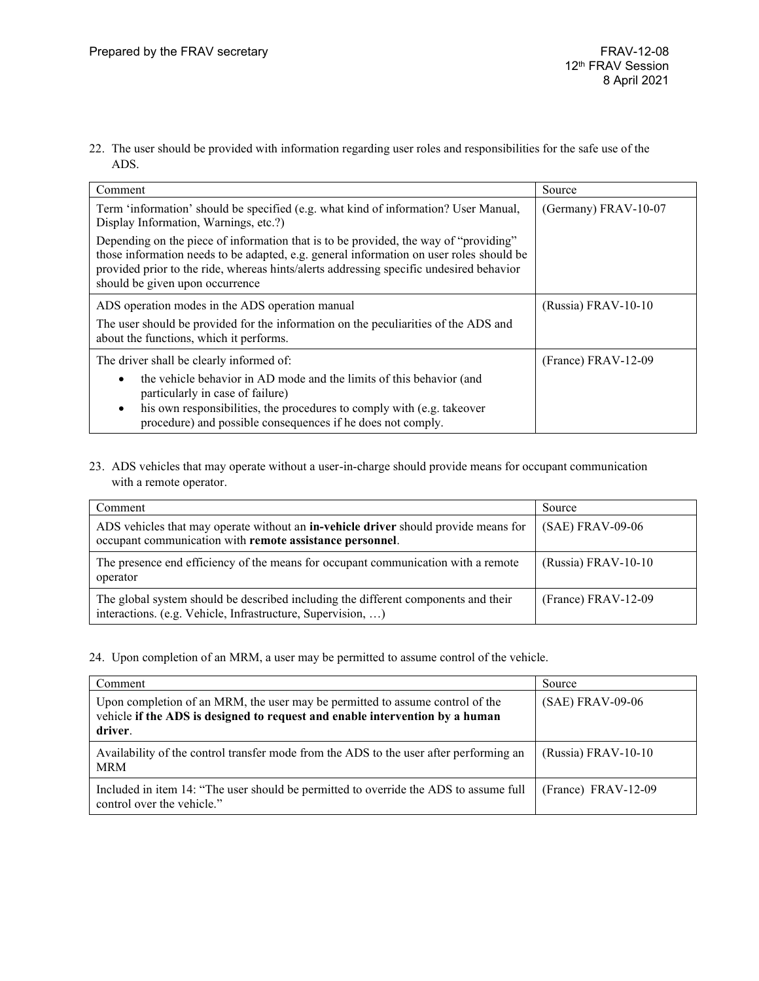22. The user should be provided with information regarding user roles and responsibilities for the safe use of the ADS.

| Comment                                                                                                                                                                                                                                                                                                       | Source               |
|---------------------------------------------------------------------------------------------------------------------------------------------------------------------------------------------------------------------------------------------------------------------------------------------------------------|----------------------|
| Term 'information' should be specified (e.g. what kind of information? User Manual,<br>Display Information, Warnings, etc.?)                                                                                                                                                                                  | (Germany) FRAV-10-07 |
| Depending on the piece of information that is to be provided, the way of "providing"<br>those information needs to be adapted, e.g. general information on user roles should be<br>provided prior to the ride, whereas hints/alerts addressing specific undesired behavior<br>should be given upon occurrence |                      |
| ADS operation modes in the ADS operation manual                                                                                                                                                                                                                                                               | (Russia) FRAV-10-10  |
| The user should be provided for the information on the peculiarities of the ADS and<br>about the functions, which it performs.                                                                                                                                                                                |                      |
| The driver shall be clearly informed of:                                                                                                                                                                                                                                                                      | (France) FRAV-12-09  |
| the vehicle behavior in AD mode and the limits of this behavior (and<br>particularly in case of failure)<br>his own responsibilities, the procedures to comply with (e.g. takeover<br>$\bullet$<br>procedure) and possible consequences if he does not comply.                                                |                      |

23. ADS vehicles that may operate without a user-in-charge should provide means for occupant communication with a remote operator.

| Comment                                                                                                                                                | Source                |
|--------------------------------------------------------------------------------------------------------------------------------------------------------|-----------------------|
| ADS vehicles that may operate without an <b>in-vehicle driver</b> should provide means for<br>occupant communication with remote assistance personnel. | $(SAE)$ FRAV-09-06    |
| The presence end efficiency of the means for occupant communication with a remote<br>operator                                                          | (Russia) FRAV-10-10   |
| The global system should be described including the different components and their<br>interactions. (e.g. Vehicle, Infrastructure, Supervision, )      | $(France) FRAV-12-09$ |

24. Upon completion of an MRM, a user may be permitted to assume control of the vehicle.

| Comment                                                                                                                                                                  | Source                |
|--------------------------------------------------------------------------------------------------------------------------------------------------------------------------|-----------------------|
| Upon completion of an MRM, the user may be permitted to assume control of the<br>vehicle if the ADS is designed to request and enable intervention by a human<br>driver. | (SAE) FRAV-09-06      |
| Availability of the control transfer mode from the ADS to the user after performing an<br><b>MRM</b>                                                                     | $(Russia)$ FRAV-10-10 |
| Included in item 14: "The user should be permitted to override the ADS to assume full<br>control over the vehicle."                                                      | (France) FRAV-12-09   |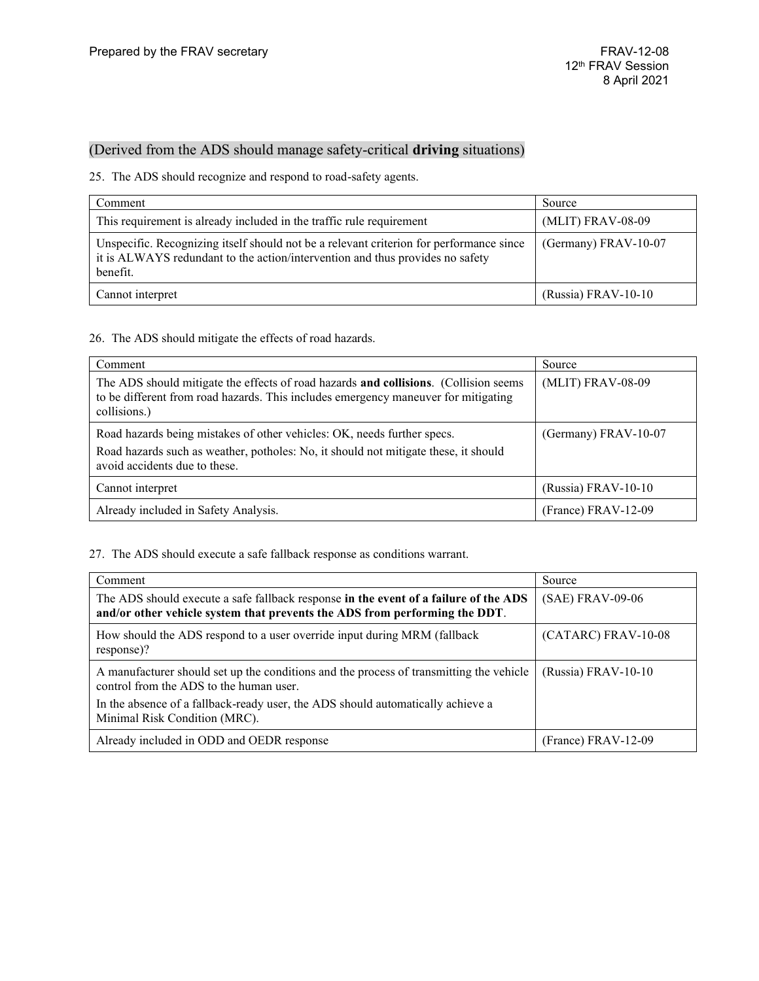### (Derived from the ADS should manage safety-critical **driving** situations)

25. The ADS should recognize and respond to road-safety agents.

| Comment                                                                                                                                                                              | Source               |
|--------------------------------------------------------------------------------------------------------------------------------------------------------------------------------------|----------------------|
| This requirement is already included in the traffic rule requirement                                                                                                                 | (MLIT) FRAV-08-09    |
| Unspecific. Recognizing itself should not be a relevant criterion for performance since<br>it is ALWAYS redundant to the action/intervention and thus provides no safety<br>benefit. | (Germany) FRAV-10-07 |
| Cannot interpret                                                                                                                                                                     | (Russia) FRAV-10-10  |

26. The ADS should mitigate the effects of road hazards.

| Comment                                                                                                                                                                                           | Source               |
|---------------------------------------------------------------------------------------------------------------------------------------------------------------------------------------------------|----------------------|
| The ADS should mitigate the effects of road hazards <b>and collisions.</b> (Collision seems<br>to be different from road hazards. This includes emergency maneuver for mitigating<br>collisions.) | (MLIT) FRAV-08-09    |
| Road hazards being mistakes of other vehicles: OK, needs further specs.<br>Road hazards such as weather, potholes: No, it should not mitigate these, it should<br>avoid accidents due to these.   | (Germany) FRAV-10-07 |
| Cannot interpret                                                                                                                                                                                  | (Russia) FRAV-10-10  |
| Already included in Safety Analysis.                                                                                                                                                              | (France) FRAV-12-09  |

27. The ADS should execute a safe fallback response as conditions warrant.

| Comment                                                                                                                                                            | Source              |
|--------------------------------------------------------------------------------------------------------------------------------------------------------------------|---------------------|
| The ADS should execute a safe fallback response in the event of a failure of the ADS<br>and/or other vehicle system that prevents the ADS from performing the DDT. | (SAE) FRAV-09-06    |
| How should the ADS respond to a user override input during MRM (fallback<br>response)?                                                                             | (CATARC) FRAV-10-08 |
| A manufacturer should set up the conditions and the process of transmitting the vehicle<br>control from the ADS to the human user.                                 | (Russia) FRAV-10-10 |
| In the absence of a fallback-ready user, the ADS should automatically achieve a<br>Minimal Risk Condition (MRC).                                                   |                     |
| Already included in ODD and OEDR response                                                                                                                          | (France) FRAV-12-09 |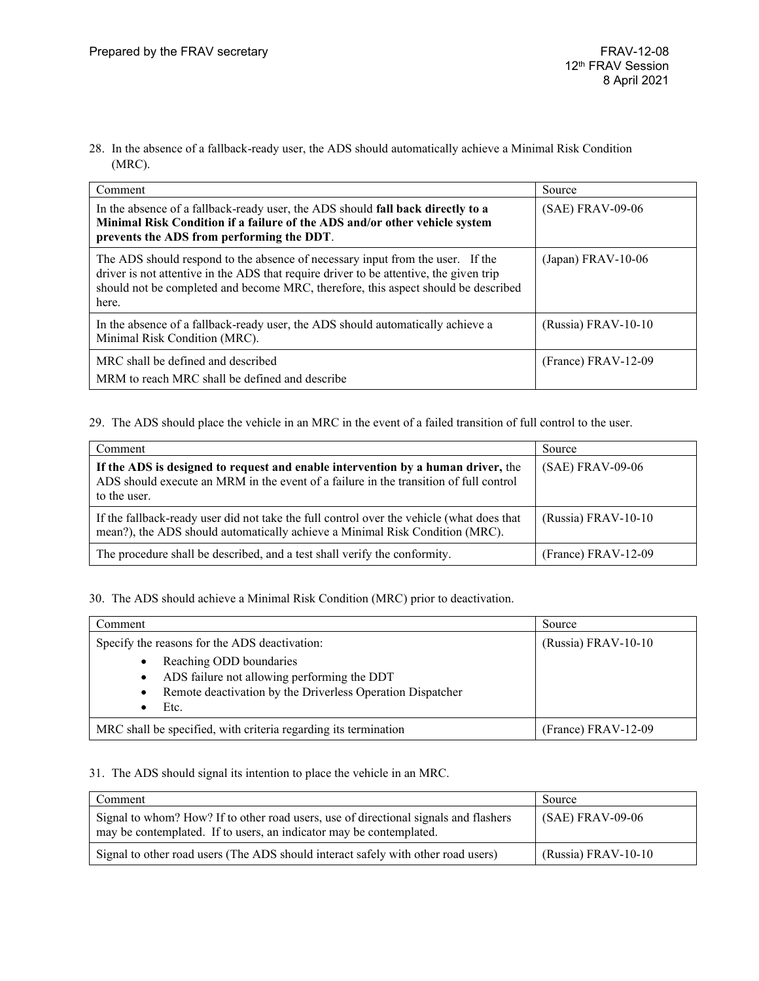28. In the absence of a fallback-ready user, the ADS should automatically achieve a Minimal Risk Condition (MRC).

| Comment                                                                                                                                                                                                                                                                 | Source                |
|-------------------------------------------------------------------------------------------------------------------------------------------------------------------------------------------------------------------------------------------------------------------------|-----------------------|
| In the absence of a fallback-ready user, the ADS should fall back directly to a<br>Minimal Risk Condition if a failure of the ADS and/or other vehicle system<br>prevents the ADS from performing the DDT.                                                              | (SAE) FRAV-09-06      |
| The ADS should respond to the absence of necessary input from the user. If the<br>driver is not attentive in the ADS that require driver to be attentive, the given trip<br>should not be completed and become MRC, therefore, this aspect should be described<br>here. | $(Japan)$ FRAV-10-06  |
| In the absence of a fallback-ready user, the ADS should automatically achieve a<br>Minimal Risk Condition (MRC).                                                                                                                                                        | (Russia) FRAV-10-10   |
| MRC shall be defined and described<br>MRM to reach MRC shall be defined and describe                                                                                                                                                                                    | $(France) FRAV-12-09$ |

### 29. The ADS should place the vehicle in an MRC in the event of a failed transition of full control to the user.

| Comment                                                                                                                                                                                   | Source                |
|-------------------------------------------------------------------------------------------------------------------------------------------------------------------------------------------|-----------------------|
| If the ADS is designed to request and enable intervention by a human driver, the<br>ADS should execute an MRM in the event of a failure in the transition of full control<br>to the user. | $(SAE)$ FRAV-09-06    |
| If the fallback-ready user did not take the full control over the vehicle (what does that<br>mean?), the ADS should automatically achieve a Minimal Risk Condition (MRC).                 | $(Russia)$ FRAV-10-10 |
| The procedure shall be described, and a test shall verify the conformity.                                                                                                                 | (France) FRAV-12-09   |

30. The ADS should achieve a Minimal Risk Condition (MRC) prior to deactivation.

| Comment                                                                                                                                                                                  | Source              |
|------------------------------------------------------------------------------------------------------------------------------------------------------------------------------------------|---------------------|
| Specify the reasons for the ADS deactivation:                                                                                                                                            | (Russia) FRAV-10-10 |
| Reaching ODD boundaries<br>$\bullet$<br>ADS failure not allowing performing the DDT<br>$\bullet$<br>Remote deactivation by the Driverless Operation Dispatcher<br>$\bullet$<br>Etc.<br>٠ |                     |
| MRC shall be specified, with criteria regarding its termination                                                                                                                          | (France) FRAV-12-09 |

### 31. The ADS should signal its intention to place the vehicle in an MRC.

| Comment                                                                                                                                                     | Source                |
|-------------------------------------------------------------------------------------------------------------------------------------------------------------|-----------------------|
| Signal to whom? How? If to other road users, use of directional signals and flashers<br>may be contemplated. If to users, an indicator may be contemplated. | (SAE) FRAV-09-06      |
| Signal to other road users (The ADS should interact safely with other road users)                                                                           | $(Russia) FRAV-10-10$ |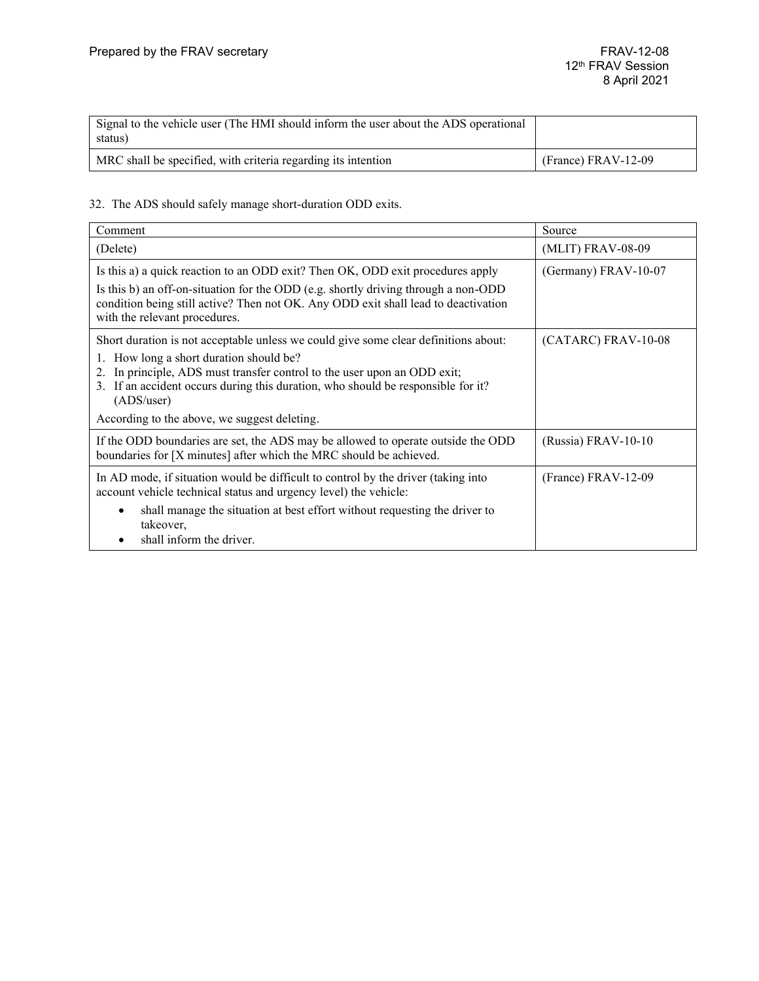| Signal to the vehicle user (The HMI should inform the user about the ADS operational<br>status) |                       |
|-------------------------------------------------------------------------------------------------|-----------------------|
| MRC shall be specified, with criteria regarding its intention                                   | $(France) FRAV-12-09$ |

32. The ADS should safely manage short-duration ODD exits.

| Comment                                                                                                                                                                                                                                                                                                         | Source                 |
|-----------------------------------------------------------------------------------------------------------------------------------------------------------------------------------------------------------------------------------------------------------------------------------------------------------------|------------------------|
| (Delete)                                                                                                                                                                                                                                                                                                        | (MLIT) FRAV-08-09      |
| Is this a) a quick reaction to an ODD exit? Then OK, ODD exit procedures apply<br>Is this b) an off-on-situation for the ODD (e.g. shortly driving through a non-ODD<br>condition being still active? Then not OK. Any ODD exit shall lead to deactivation<br>with the relevant procedures.                     | (Germany) $FRAV-10-07$ |
| Short duration is not acceptable unless we could give some clear definitions about:<br>1. How long a short duration should be?<br>In principle, ADS must transfer control to the user upon an ODD exit;<br>2.<br>3. If an accident occurs during this duration, who should be responsible for it?<br>(ADS/user) | (CATARC) FRAV-10-08    |
| According to the above, we suggest deleting.                                                                                                                                                                                                                                                                    |                        |
| If the ODD boundaries are set, the ADS may be allowed to operate outside the ODD<br>boundaries for [X minutes] after which the MRC should be achieved.                                                                                                                                                          | (Russia) FRAV-10-10    |
| In AD mode, if situation would be difficult to control by the driver (taking into<br>account vehicle technical status and urgency level) the vehicle:                                                                                                                                                           | (France) FRAV-12-09    |
| shall manage the situation at best effort without requesting the driver to<br>takeover,<br>shall inform the driver.                                                                                                                                                                                             |                        |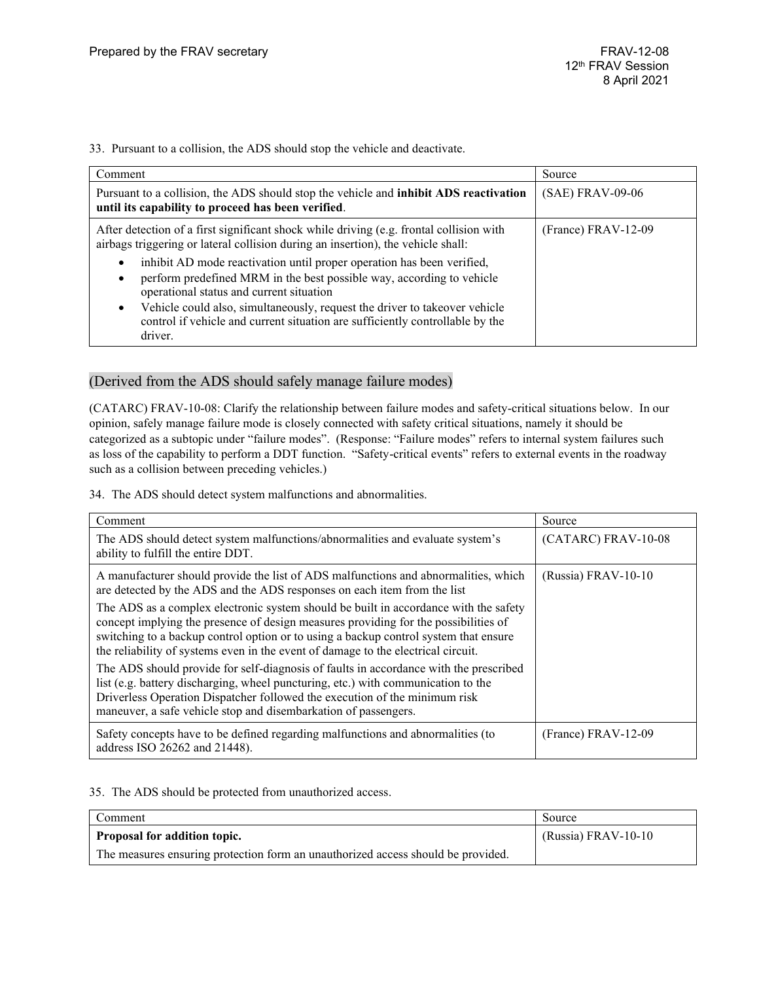33. Pursuant to a collision, the ADS should stop the vehicle and deactivate.

| Comment                                                                                                                                                                                                                                                                                                                                                                              | Source              |
|--------------------------------------------------------------------------------------------------------------------------------------------------------------------------------------------------------------------------------------------------------------------------------------------------------------------------------------------------------------------------------------|---------------------|
| Pursuant to a collision, the ADS should stop the vehicle and <b>inhibit ADS reactivation</b><br>until its capability to proceed has been verified.                                                                                                                                                                                                                                   | (SAE) FRAV-09-06    |
| After detection of a first significant shock while driving (e.g. frontal collision with<br>airbags triggering or lateral collision during an insertion), the vehicle shall:                                                                                                                                                                                                          | (France) FRAV-12-09 |
| inhibit AD mode reactivation until proper operation has been verified,<br>٠<br>perform predefined MRM in the best possible way, according to vehicle<br>٠<br>operational status and current situation<br>Vehicle could also, simultaneously, request the driver to takeover vehicle<br>٠<br>control if vehicle and current situation are sufficiently controllable by the<br>driver. |                     |

### (Derived from the ADS should safely manage failure modes)

(CATARC) FRAV-10-08: Clarify the relationship between failure modes and safety-critical situations below. In our opinion, safely manage failure mode is closely connected with safety critical situations, namely it should be categorized as a subtopic under "failure modes". (Response: "Failure modes" refers to internal system failures such as loss of the capability to perform a DDT function. "Safety-critical events" refers to external events in the roadway such as a collision between preceding vehicles.)

34. The ADS should detect system malfunctions and abnormalities.

| Comment                                                                                                                                                                                                                                                                                                                                                  | Source              |
|----------------------------------------------------------------------------------------------------------------------------------------------------------------------------------------------------------------------------------------------------------------------------------------------------------------------------------------------------------|---------------------|
| The ADS should detect system malfunctions/abnormalities and evaluate system's<br>ability to fulfill the entire DDT.                                                                                                                                                                                                                                      | (CATARC) FRAV-10-08 |
| A manufacturer should provide the list of ADS malfunctions and abnormalities, which<br>are detected by the ADS and the ADS responses on each item from the list                                                                                                                                                                                          | (Russia) FRAV-10-10 |
| The ADS as a complex electronic system should be built in accordance with the safety<br>concept implying the presence of design measures providing for the possibilities of<br>switching to a backup control option or to using a backup control system that ensure<br>the reliability of systems even in the event of damage to the electrical circuit. |                     |
| The ADS should provide for self-diagnosis of faults in accordance with the prescribed<br>list (e.g. battery discharging, wheel puncturing, etc.) with communication to the<br>Driverless Operation Dispatcher followed the execution of the minimum risk<br>maneuver, a safe vehicle stop and disembarkation of passengers.                              |                     |
| Safety concepts have to be defined regarding malfunctions and abnormalities (to<br>address ISO 26262 and 21448).                                                                                                                                                                                                                                         | (France) FRAV-12-09 |

35. The ADS should be protected from unauthorized access.

| Comment                                                                          | Source                |
|----------------------------------------------------------------------------------|-----------------------|
| <b>Proposal for addition topic.</b>                                              | $(Russia) FRAV-10-10$ |
| The measures ensuring protection form an unauthorized access should be provided. |                       |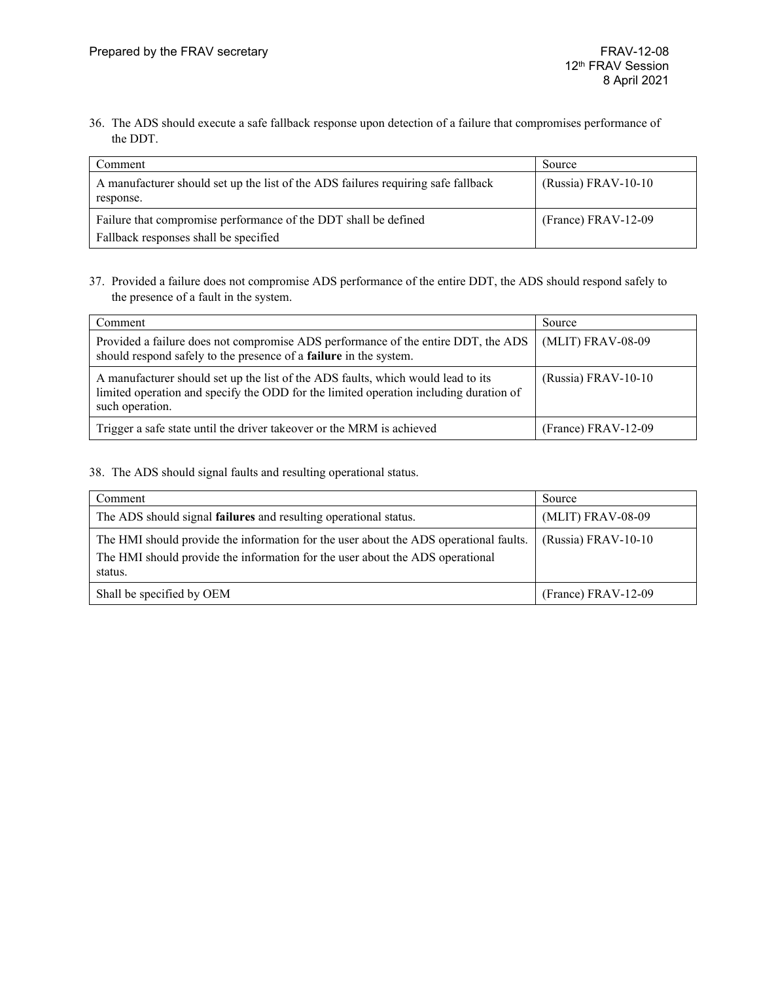36. The ADS should execute a safe fallback response upon detection of a failure that compromises performance of the DDT.

| Comment                                                                                                  | Source                |
|----------------------------------------------------------------------------------------------------------|-----------------------|
| A manufacturer should set up the list of the ADS failures requiring safe fallback<br>response.           | $(Russia)$ FRAV-10-10 |
| Failure that compromise performance of the DDT shall be defined<br>Fallback responses shall be specified | $(France) FRAV-12-09$ |

37. Provided a failure does not compromise ADS performance of the entire DDT, the ADS should respond safely to the presence of a fault in the system.

| Comment                                                                                                                                                                                      | Source              |
|----------------------------------------------------------------------------------------------------------------------------------------------------------------------------------------------|---------------------|
| Provided a failure does not compromise ADS performance of the entire DDT, the ADS<br>should respond safely to the presence of a <b>failure</b> in the system.                                | (MLIT) FRAV-08-09   |
| A manufacturer should set up the list of the ADS faults, which would lead to its<br>limited operation and specify the ODD for the limited operation including duration of<br>such operation. | (Russia) FRAV-10-10 |
| Trigger a safe state until the driver takeover or the MRM is achieved                                                                                                                        | (France) FRAV-12-09 |

38. The ADS should signal faults and resulting operational status.

| Comment                                                                                                                                                                           | Source                |
|-----------------------------------------------------------------------------------------------------------------------------------------------------------------------------------|-----------------------|
| The ADS should signal <b>failures</b> and resulting operational status.                                                                                                           | (MLIT) FRAV-08-09     |
| The HMI should provide the information for the user about the ADS operational faults.<br>The HMI should provide the information for the user about the ADS operational<br>status. | $(Russia)$ FRAV-10-10 |
| Shall be specified by OEM                                                                                                                                                         | (France) FRAV-12-09   |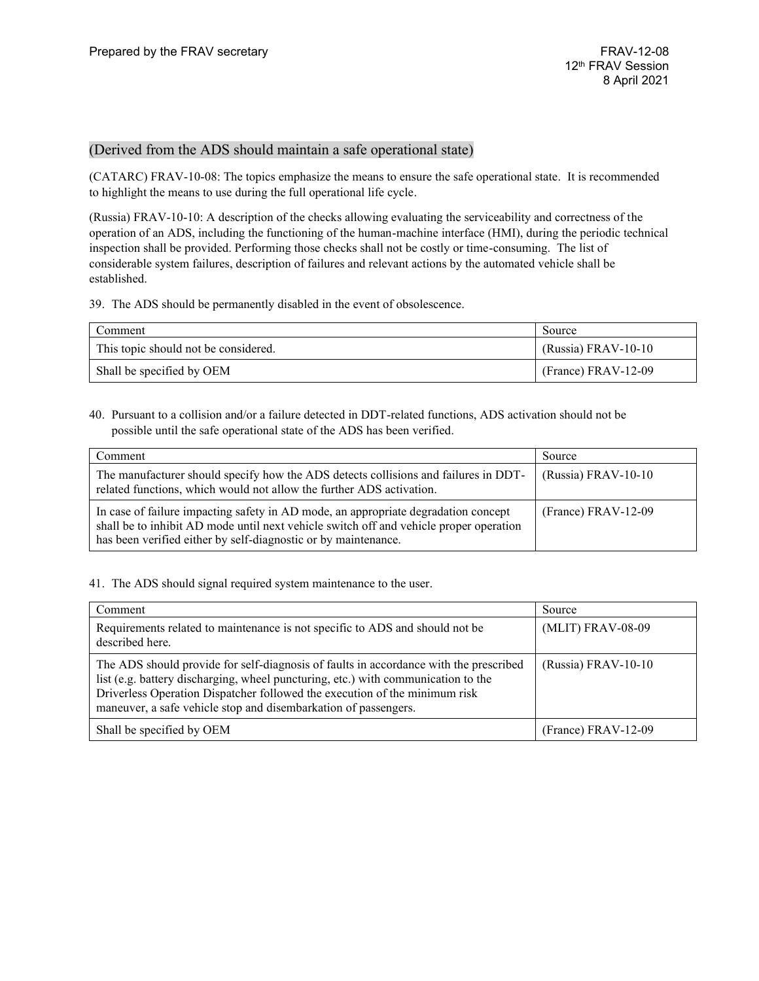### (Derived from the ADS should maintain a safe operational state)

(CATARC) FRAV-10-08: The topics emphasize the means to ensure the safe operational state. It is recommended to highlight the means to use during the full operational life cycle.

(Russia) FRAV-10-10: A description of the checks allowing evaluating the serviceability and correctness of the operation of an ADS, including the functioning of the human-machine interface (HMI), during the periodic technical inspection shall be provided. Performing those checks shall not be costly or time-consuming. The list of considerable system failures, description of failures and relevant actions by the automated vehicle shall be established.

39. The ADS should be permanently disabled in the event of obsolescence.

| Comment                              | Source                |
|--------------------------------------|-----------------------|
| This topic should not be considered. | $(Russia) FRAV-10-10$ |
| Shall be specified by OEM            | $(France) FRAV-12-09$ |

40. Pursuant to a collision and/or a failure detected in DDT-related functions, ADS activation should not be possible until the safe operational state of the ADS has been verified.

| Comment                                                                                                                                                                                                                                        | Source                |
|------------------------------------------------------------------------------------------------------------------------------------------------------------------------------------------------------------------------------------------------|-----------------------|
| The manufacturer should specify how the ADS detects collisions and failures in DDT-<br>related functions, which would not allow the further ADS activation.                                                                                    | $(Russia)$ FRAV-10-10 |
| In case of failure impacting safety in AD mode, an appropriate degradation concept<br>shall be to inhibit AD mode until next vehicle switch off and vehicle proper operation<br>has been verified either by self-diagnostic or by maintenance. | (France) FRAV-12-09   |

41. The ADS should signal required system maintenance to the user.

| Comment                                                                                                                                                                                                                                                                                                                     | Source              |
|-----------------------------------------------------------------------------------------------------------------------------------------------------------------------------------------------------------------------------------------------------------------------------------------------------------------------------|---------------------|
| Requirements related to maintenance is not specific to ADS and should not be<br>described here.                                                                                                                                                                                                                             | (MLIT) FRAV-08-09   |
| The ADS should provide for self-diagnosis of faults in accordance with the prescribed<br>list (e.g. battery discharging, wheel puncturing, etc.) with communication to the<br>Driverless Operation Dispatcher followed the execution of the minimum risk<br>maneuver, a safe vehicle stop and disembarkation of passengers. | (Russia) FRAV-10-10 |
| Shall be specified by OEM                                                                                                                                                                                                                                                                                                   | (France) FRAV-12-09 |